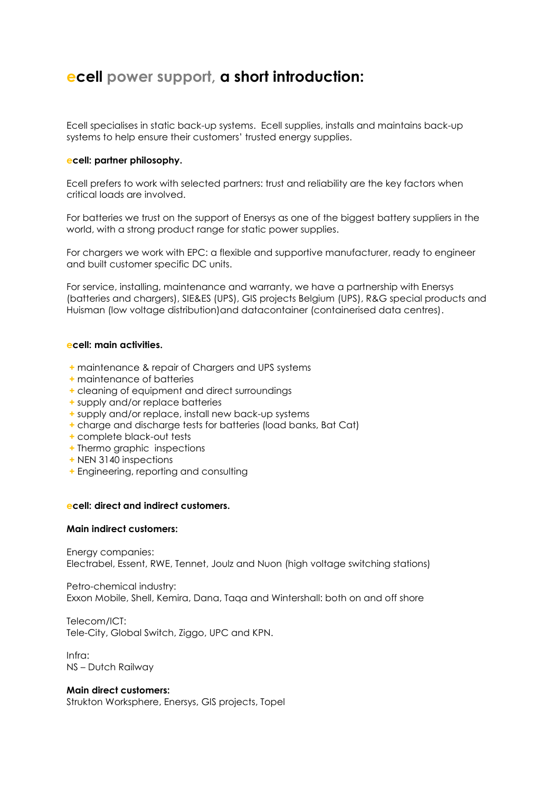# **ecell power support, a short introduction:**

Ecell specialises in static back-up systems. Ecell supplies, installs and maintains back-up systems to help ensure their customers' trusted energy supplies.

## **ecell: partner philosophy.**

Ecell prefers to work with selected partners: trust and reliability are the key factors when critical loads are involved.

For batteries we trust on the support of Enersys as one of the biggest battery suppliers in the world, with a strong product range for static power supplies.

For chargers we work with EPC: a flexible and supportive manufacturer, ready to engineer and built customer specific DC units.

For service, installing, maintenance and warranty, we have a partnership with Enersys (batteries and chargers), SIE&ES (UPS), GIS projects Belgium (UPS), R&G special products and Huisman (low voltage distribution)and datacontainer (containerised data centres).

# **ecell: main activities.**

- **+** maintenance & repair of Chargers and UPS systems
- **+** maintenance of batteries
- **+** cleaning of equipment and direct surroundings
- **+** supply and/or replace batteries
- **+** supply and/or replace, install new back-up systems
- **+** charge and discharge tests for batteries (load banks, Bat Cat)
- **+** complete black-out tests
- **+** Thermo graphic inspections
- **+** NEN 3140 inspections
- **+** Engineering, reporting and consulting

#### **ecell: direct and indirect customers.**

#### **Main indirect customers:**

Energy companies: Electrabel, Essent, RWE, Tennet, Joulz and Nuon (high voltage switching stations)

Petro-chemical industry: Exxon Mobile, Shell, Kemira, Dana, Taqa and Wintershall: both on and off shore

Telecom/ICT: Tele-City, Global Switch, Ziggo, UPC and KPN.

Infra: NS – Dutch Railway

#### **Main direct customers:**

Strukton Worksphere, Enersys, GIS projects, Topel